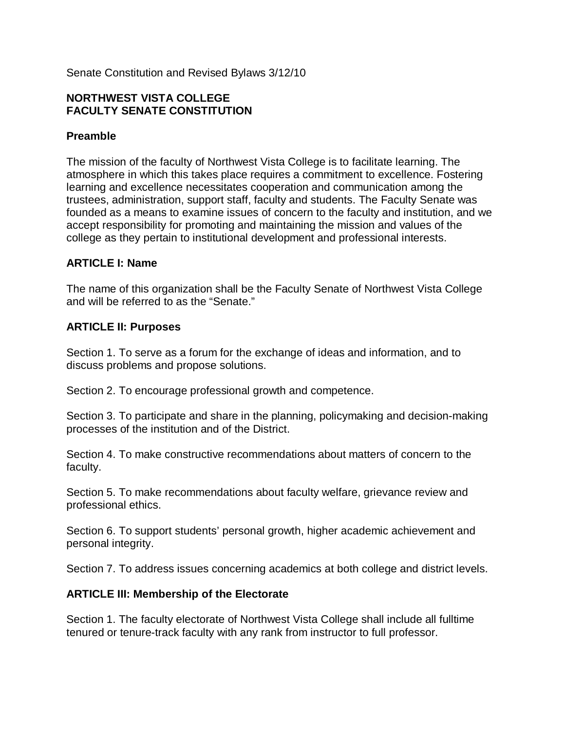Senate Constitution and Revised Bylaws 3/12/10

## **NORTHWEST VISTA COLLEGE FACULTY SENATE CONSTITUTION**

## **Preamble**

The mission of the faculty of Northwest Vista College is to facilitate learning. The atmosphere in which this takes place requires a commitment to excellence. Fostering learning and excellence necessitates cooperation and communication among the trustees, administration, support staff, faculty and students. The Faculty Senate was founded as a means to examine issues of concern to the faculty and institution, and we accept responsibility for promoting and maintaining the mission and values of the college as they pertain to institutional development and professional interests.

#### **ARTICLE I: Name**

The name of this organization shall be the Faculty Senate of Northwest Vista College and will be referred to as the "Senate."

## **ARTICLE II: Purposes**

Section 1. To serve as a forum for the exchange of ideas and information, and to discuss problems and propose solutions.

Section 2. To encourage professional growth and competence.

Section 3. To participate and share in the planning, policymaking and decision-making processes of the institution and of the District.

Section 4. To make constructive recommendations about matters of concern to the faculty.

Section 5. To make recommendations about faculty welfare, grievance review and professional ethics.

Section 6. To support students' personal growth, higher academic achievement and personal integrity.

Section 7. To address issues concerning academics at both college and district levels.

#### **ARTICLE III: Membership of the Electorate**

Section 1. The faculty electorate of Northwest Vista College shall include all fulltime tenured or tenure-track faculty with any rank from instructor to full professor.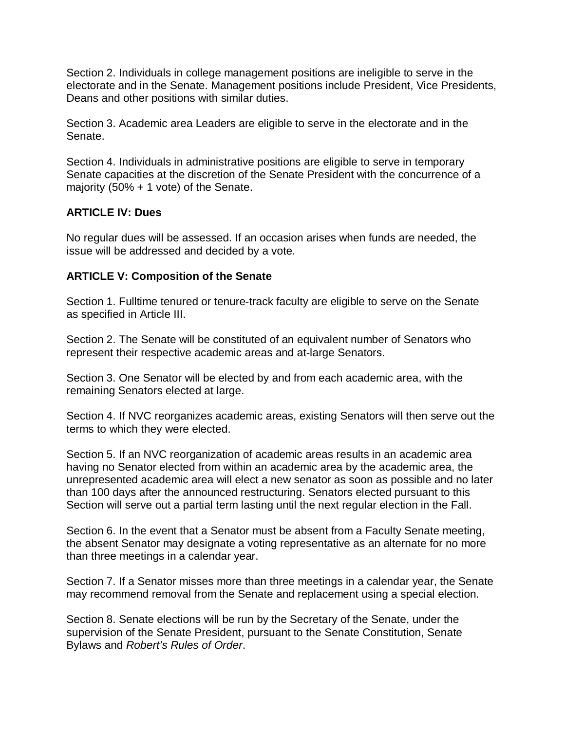Section 2. Individuals in college management positions are ineligible to serve in the electorate and in the Senate. Management positions include President, Vice Presidents, Deans and other positions with similar duties.

Section 3. Academic area Leaders are eligible to serve in the electorate and in the Senate.

Section 4. Individuals in administrative positions are eligible to serve in temporary Senate capacities at the discretion of the Senate President with the concurrence of a majority (50% + 1 vote) of the Senate.

# **ARTICLE IV: Dues**

No regular dues will be assessed. If an occasion arises when funds are needed, the issue will be addressed and decided by a vote.

## **ARTICLE V: Composition of the Senate**

Section 1. Fulltime tenured or tenure-track faculty are eligible to serve on the Senate as specified in Article III.

Section 2. The Senate will be constituted of an equivalent number of Senators who represent their respective academic areas and at-large Senators.

Section 3. One Senator will be elected by and from each academic area, with the remaining Senators elected at large.

Section 4. If NVC reorganizes academic areas, existing Senators will then serve out the terms to which they were elected.

Section 5. If an NVC reorganization of academic areas results in an academic area having no Senator elected from within an academic area by the academic area, the unrepresented academic area will elect a new senator as soon as possible and no later than 100 days after the announced restructuring. Senators elected pursuant to this Section will serve out a partial term lasting until the next regular election in the Fall.

Section 6. In the event that a Senator must be absent from a Faculty Senate meeting, the absent Senator may designate a voting representative as an alternate for no more than three meetings in a calendar year.

Section 7. If a Senator misses more than three meetings in a calendar year, the Senate may recommend removal from the Senate and replacement using a special election.

Section 8. Senate elections will be run by the Secretary of the Senate, under the supervision of the Senate President, pursuant to the Senate Constitution, Senate Bylaws and *Robert's Rules of Order*.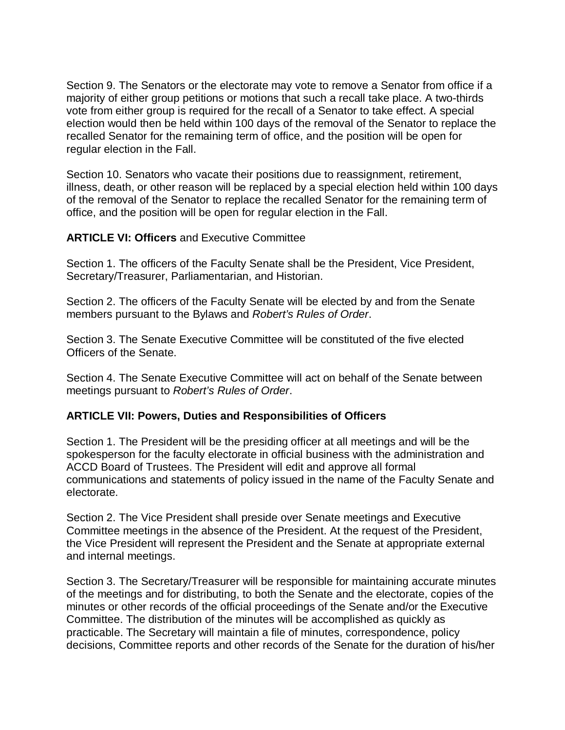Section 9. The Senators or the electorate may vote to remove a Senator from office if a majority of either group petitions or motions that such a recall take place. A two-thirds vote from either group is required for the recall of a Senator to take effect. A special election would then be held within 100 days of the removal of the Senator to replace the recalled Senator for the remaining term of office, and the position will be open for regular election in the Fall.

Section 10. Senators who vacate their positions due to reassignment, retirement, illness, death, or other reason will be replaced by a special election held within 100 days of the removal of the Senator to replace the recalled Senator for the remaining term of office, and the position will be open for regular election in the Fall.

#### **ARTICLE VI: Officers** and Executive Committee

Section 1. The officers of the Faculty Senate shall be the President, Vice President, Secretary/Treasurer, Parliamentarian, and Historian.

Section 2. The officers of the Faculty Senate will be elected by and from the Senate members pursuant to the Bylaws and *Robert's Rules of Order*.

Section 3. The Senate Executive Committee will be constituted of the five elected Officers of the Senate.

Section 4. The Senate Executive Committee will act on behalf of the Senate between meetings pursuant to *Robert's Rules of Order*.

#### **ARTICLE VII: Powers, Duties and Responsibilities of Officers**

Section 1. The President will be the presiding officer at all meetings and will be the spokesperson for the faculty electorate in official business with the administration and ACCD Board of Trustees. The President will edit and approve all formal communications and statements of policy issued in the name of the Faculty Senate and electorate.

Section 2. The Vice President shall preside over Senate meetings and Executive Committee meetings in the absence of the President. At the request of the President, the Vice President will represent the President and the Senate at appropriate external and internal meetings.

Section 3. The Secretary/Treasurer will be responsible for maintaining accurate minutes of the meetings and for distributing, to both the Senate and the electorate, copies of the minutes or other records of the official proceedings of the Senate and/or the Executive Committee. The distribution of the minutes will be accomplished as quickly as practicable. The Secretary will maintain a file of minutes, correspondence, policy decisions, Committee reports and other records of the Senate for the duration of his/her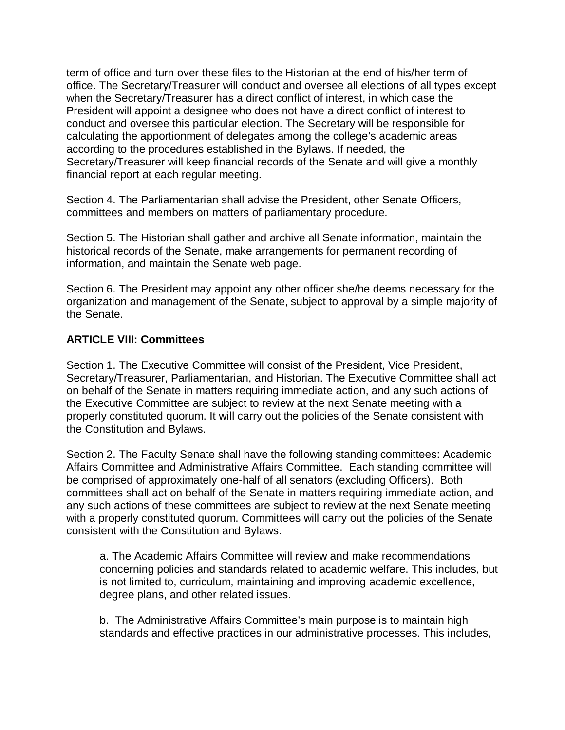term of office and turn over these files to the Historian at the end of his/her term of office. The Secretary/Treasurer will conduct and oversee all elections of all types except when the Secretary/Treasurer has a direct conflict of interest, in which case the President will appoint a designee who does not have a direct conflict of interest to conduct and oversee this particular election. The Secretary will be responsible for calculating the apportionment of delegates among the college's academic areas according to the procedures established in the Bylaws. If needed, the Secretary/Treasurer will keep financial records of the Senate and will give a monthly financial report at each regular meeting.

Section 4. The Parliamentarian shall advise the President, other Senate Officers, committees and members on matters of parliamentary procedure.

Section 5. The Historian shall gather and archive all Senate information, maintain the historical records of the Senate, make arrangements for permanent recording of information, and maintain the Senate web page.

Section 6. The President may appoint any other officer she/he deems necessary for the organization and management of the Senate, subject to approval by a simple majority of the Senate.

# **ARTICLE VIII: Committees**

Section 1. The Executive Committee will consist of the President, Vice President, Secretary/Treasurer, Parliamentarian, and Historian. The Executive Committee shall act on behalf of the Senate in matters requiring immediate action, and any such actions of the Executive Committee are subject to review at the next Senate meeting with a properly constituted quorum. It will carry out the policies of the Senate consistent with the Constitution and Bylaws.

Section 2. The Faculty Senate shall have the following standing committees: Academic Affairs Committee and Administrative Affairs Committee. Each standing committee will be comprised of approximately one-half of all senators (excluding Officers). Both committees shall act on behalf of the Senate in matters requiring immediate action, and any such actions of these committees are subject to review at the next Senate meeting with a properly constituted quorum. Committees will carry out the policies of the Senate consistent with the Constitution and Bylaws.

a. The Academic Affairs Committee will review and make recommendations concerning policies and standards related to academic welfare. This includes, but is not limited to, curriculum, maintaining and improving academic excellence, degree plans, and other related issues.

b. The Administrative Affairs Committee's main purpose is to maintain high standards and effective practices in our administrative processes. This includes,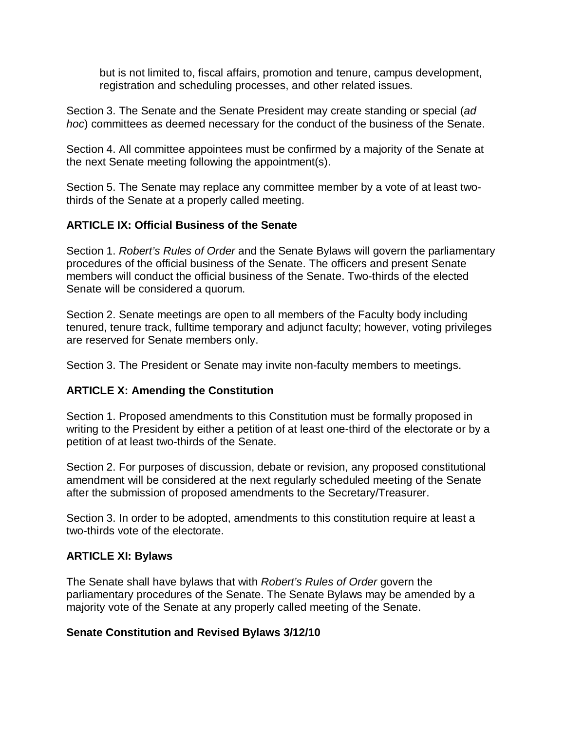but is not limited to, fiscal affairs, promotion and tenure, campus development, registration and scheduling processes, and other related issues.

Section 3. The Senate and the Senate President may create standing or special (*ad hoc*) committees as deemed necessary for the conduct of the business of the Senate.

Section 4. All committee appointees must be confirmed by a majority of the Senate at the next Senate meeting following the appointment(s).

Section 5. The Senate may replace any committee member by a vote of at least twothirds of the Senate at a properly called meeting.

# **ARTICLE IX: Official Business of the Senate**

Section 1. *Robert's Rules of Order* and the Senate Bylaws will govern the parliamentary procedures of the official business of the Senate. The officers and present Senate members will conduct the official business of the Senate. Two-thirds of the elected Senate will be considered a quorum.

Section 2. Senate meetings are open to all members of the Faculty body including tenured, tenure track, fulltime temporary and adjunct faculty; however, voting privileges are reserved for Senate members only.

Section 3. The President or Senate may invite non-faculty members to meetings.

#### **ARTICLE X: Amending the Constitution**

Section 1. Proposed amendments to this Constitution must be formally proposed in writing to the President by either a petition of at least one-third of the electorate or by a petition of at least two-thirds of the Senate.

Section 2. For purposes of discussion, debate or revision, any proposed constitutional amendment will be considered at the next regularly scheduled meeting of the Senate after the submission of proposed amendments to the Secretary/Treasurer.

Section 3. In order to be adopted, amendments to this constitution require at least a two-thirds vote of the electorate.

#### **ARTICLE XI: Bylaws**

The Senate shall have bylaws that with *Robert's Rules of Order* govern the parliamentary procedures of the Senate. The Senate Bylaws may be amended by a majority vote of the Senate at any properly called meeting of the Senate.

# **Senate Constitution and Revised Bylaws 3/12/10**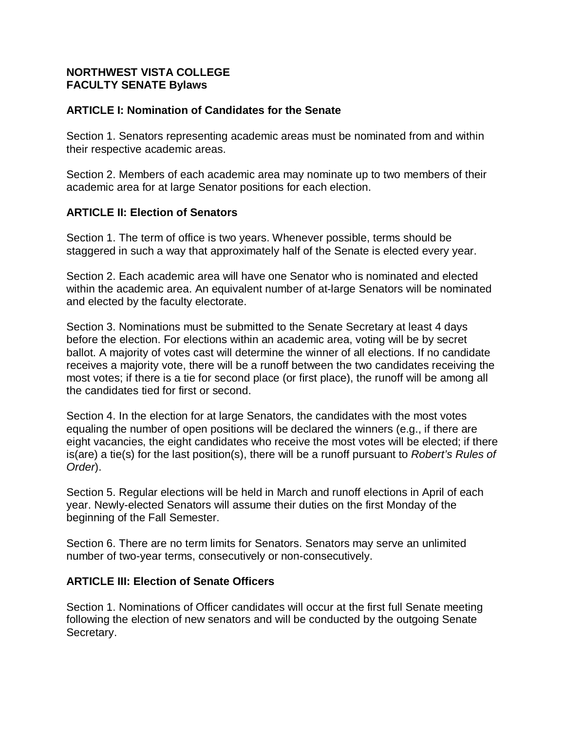## **NORTHWEST VISTA COLLEGE FACULTY SENATE Bylaws**

## **ARTICLE I: Nomination of Candidates for the Senate**

Section 1. Senators representing academic areas must be nominated from and within their respective academic areas.

Section 2. Members of each academic area may nominate up to two members of their academic area for at large Senator positions for each election.

## **ARTICLE II: Election of Senators**

Section 1. The term of office is two years. Whenever possible, terms should be staggered in such a way that approximately half of the Senate is elected every year.

Section 2. Each academic area will have one Senator who is nominated and elected within the academic area. An equivalent number of at-large Senators will be nominated and elected by the faculty electorate.

Section 3. Nominations must be submitted to the Senate Secretary at least 4 days before the election. For elections within an academic area, voting will be by secret ballot. A majority of votes cast will determine the winner of all elections. If no candidate receives a majority vote, there will be a runoff between the two candidates receiving the most votes; if there is a tie for second place (or first place), the runoff will be among all the candidates tied for first or second.

Section 4. In the election for at large Senators, the candidates with the most votes equaling the number of open positions will be declared the winners (e.g., if there are eight vacancies, the eight candidates who receive the most votes will be elected; if there is(are) a tie(s) for the last position(s), there will be a runoff pursuant to *Robert's Rules of Order*).

Section 5. Regular elections will be held in March and runoff elections in April of each year. Newly-elected Senators will assume their duties on the first Monday of the beginning of the Fall Semester.

Section 6. There are no term limits for Senators. Senators may serve an unlimited number of two-year terms, consecutively or non-consecutively.

#### **ARTICLE III: Election of Senate Officers**

Section 1. Nominations of Officer candidates will occur at the first full Senate meeting following the election of new senators and will be conducted by the outgoing Senate Secretary.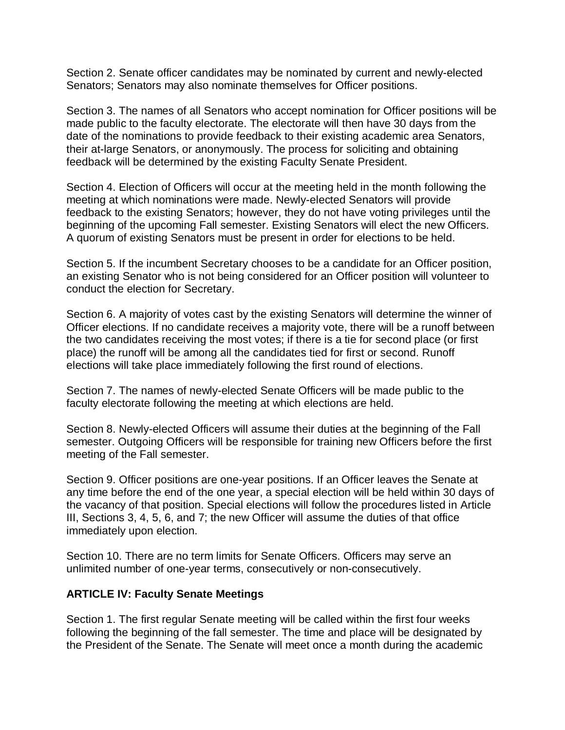Section 2. Senate officer candidates may be nominated by current and newly-elected Senators; Senators may also nominate themselves for Officer positions.

Section 3. The names of all Senators who accept nomination for Officer positions will be made public to the faculty electorate. The electorate will then have 30 days from the date of the nominations to provide feedback to their existing academic area Senators, their at-large Senators, or anonymously. The process for soliciting and obtaining feedback will be determined by the existing Faculty Senate President.

Section 4. Election of Officers will occur at the meeting held in the month following the meeting at which nominations were made. Newly-elected Senators will provide feedback to the existing Senators; however, they do not have voting privileges until the beginning of the upcoming Fall semester. Existing Senators will elect the new Officers. A quorum of existing Senators must be present in order for elections to be held.

Section 5. If the incumbent Secretary chooses to be a candidate for an Officer position, an existing Senator who is not being considered for an Officer position will volunteer to conduct the election for Secretary.

Section 6. A majority of votes cast by the existing Senators will determine the winner of Officer elections. If no candidate receives a majority vote, there will be a runoff between the two candidates receiving the most votes; if there is a tie for second place (or first place) the runoff will be among all the candidates tied for first or second. Runoff elections will take place immediately following the first round of elections.

Section 7. The names of newly-elected Senate Officers will be made public to the faculty electorate following the meeting at which elections are held.

Section 8. Newly-elected Officers will assume their duties at the beginning of the Fall semester. Outgoing Officers will be responsible for training new Officers before the first meeting of the Fall semester.

Section 9. Officer positions are one-year positions. If an Officer leaves the Senate at any time before the end of the one year, a special election will be held within 30 days of the vacancy of that position. Special elections will follow the procedures listed in Article III, Sections 3, 4, 5, 6, and 7; the new Officer will assume the duties of that office immediately upon election.

Section 10. There are no term limits for Senate Officers. Officers may serve an unlimited number of one-year terms, consecutively or non-consecutively.

#### **ARTICLE IV: Faculty Senate Meetings**

Section 1. The first regular Senate meeting will be called within the first four weeks following the beginning of the fall semester. The time and place will be designated by the President of the Senate. The Senate will meet once a month during the academic